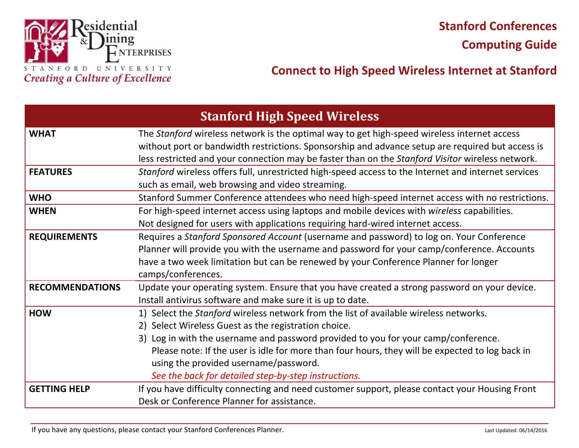

# **Connect to High Speed Wireless Internet at Stanford**

| <b>Stanford High Speed Wireless</b> |                                                                                                                                                                                                                                                                                                                                                                                                                                         |
|-------------------------------------|-----------------------------------------------------------------------------------------------------------------------------------------------------------------------------------------------------------------------------------------------------------------------------------------------------------------------------------------------------------------------------------------------------------------------------------------|
| <b>WHAT</b>                         | The Stanford wireless network is the optimal way to get high-speed wireless internet access<br>without port or bandwidth restrictions. Sponsorship and advance setup are required but access is<br>less restricted and your connection may be faster than on the Stanford Visitor wireless network.                                                                                                                                     |
| <b>FEATURES</b>                     | Stanford wireless offers full, unrestricted high-speed access to the Internet and internet services<br>such as email, web browsing and video streaming.                                                                                                                                                                                                                                                                                 |
| <b>WHO</b>                          | Stanford Summer Conference attendees who need high-speed internet access with no restrictions.                                                                                                                                                                                                                                                                                                                                          |
| <b>WHEN</b>                         | For high-speed internet access using laptops and mobile devices with wireless capabilities.<br>Not designed for users with applications requiring hard-wired internet access.                                                                                                                                                                                                                                                           |
| <b>REQUIREMENTS</b>                 | Requires a Stanford Sponsored Account (username and password) to log on. Your Conference<br>Planner will provide you with the username and password for your camp/conference. Accounts<br>have a two week limitation but can be renewed by your Conference Planner for longer<br>camps/conferences.                                                                                                                                     |
| <b>RECOMMENDATIONS</b>              | Update your operating system. Ensure that you have created a strong password on your device.<br>Install antivirus software and make sure it is up to date.                                                                                                                                                                                                                                                                              |
| <b>HOW</b>                          | 1) Select the Stanford wireless network from the list of available wireless networks.<br>2) Select Wireless Guest as the registration choice.<br>3) Log in with the username and password provided to you for your camp/conference.<br>Please note: If the user is idle for more than four hours, they will be expected to log back in<br>using the provided username/password.<br>See the back for detailed step-by-step instructions. |
| <b>GETTING HELP</b>                 | If you have difficulty connecting and need customer support, please contact your Housing Front<br>Desk or Conference Planner for assistance.                                                                                                                                                                                                                                                                                            |